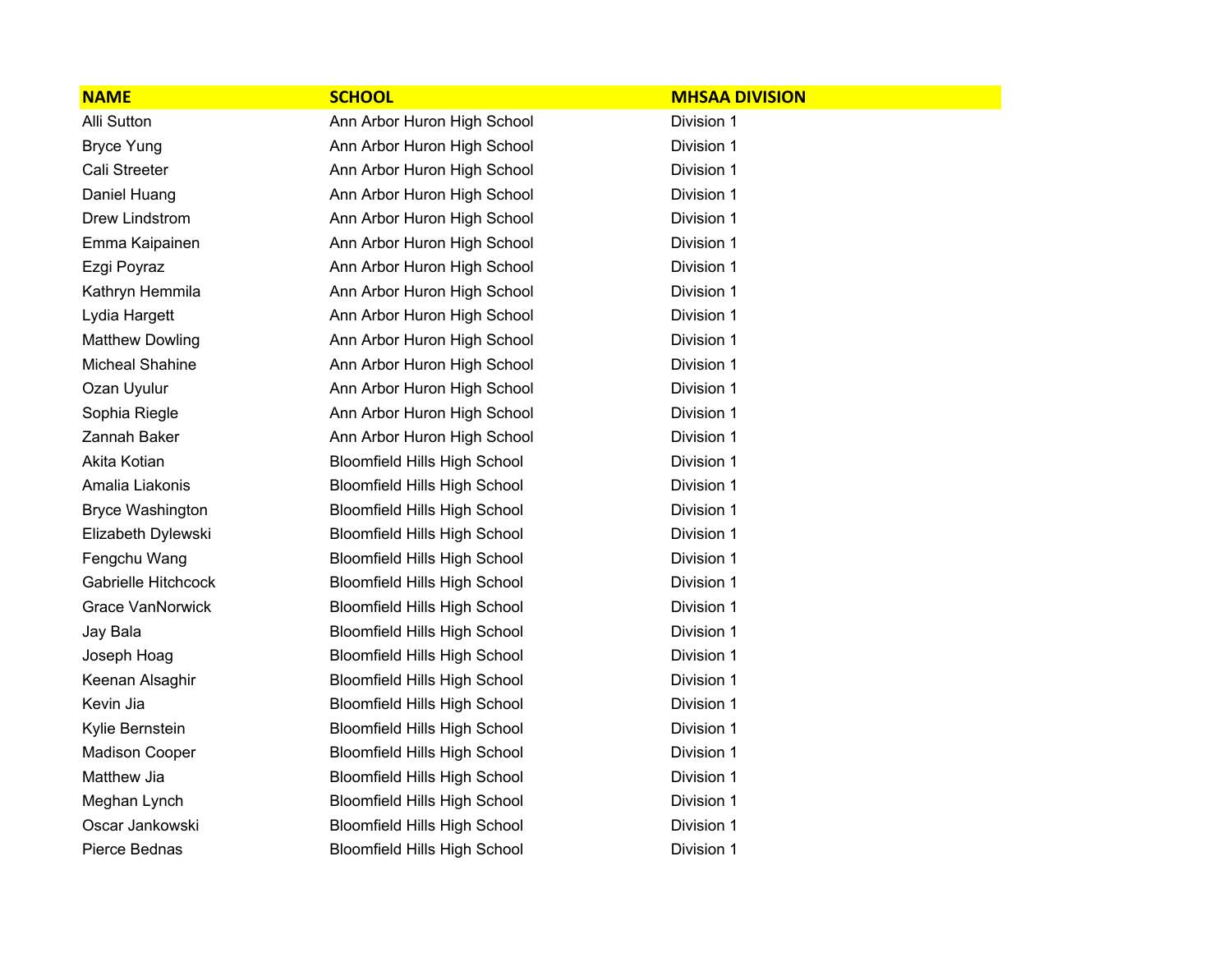| <b>NAME</b>             | <b>SCHOOL</b>                       | <b>MHSAA DIVISION</b> |  |
|-------------------------|-------------------------------------|-----------------------|--|
| <b>Alli Sutton</b>      | Ann Arbor Huron High School         | Division 1            |  |
| <b>Bryce Yung</b>       | Ann Arbor Huron High School         | Division 1            |  |
| Cali Streeter           | Ann Arbor Huron High School         | Division 1            |  |
| Daniel Huang            | Ann Arbor Huron High School         | Division 1            |  |
| Drew Lindstrom          | Ann Arbor Huron High School         | Division 1            |  |
| Emma Kaipainen          | Ann Arbor Huron High School         | Division 1            |  |
| Ezgi Poyraz             | Ann Arbor Huron High School         | Division 1            |  |
| Kathryn Hemmila         | Ann Arbor Huron High School         | Division 1            |  |
| Lydia Hargett           | Ann Arbor Huron High School         | Division 1            |  |
| <b>Matthew Dowling</b>  | Ann Arbor Huron High School         | Division 1            |  |
| <b>Micheal Shahine</b>  | Ann Arbor Huron High School         | Division 1            |  |
| Ozan Uyulur             | Ann Arbor Huron High School         | Division 1            |  |
| Sophia Riegle           | Ann Arbor Huron High School         | Division 1            |  |
| Zannah Baker            | Ann Arbor Huron High School         | Division 1            |  |
| Akita Kotian            | <b>Bloomfield Hills High School</b> | Division 1            |  |
| Amalia Liakonis         | <b>Bloomfield Hills High School</b> | Division 1            |  |
| <b>Bryce Washington</b> | <b>Bloomfield Hills High School</b> | Division 1            |  |
| Elizabeth Dylewski      | <b>Bloomfield Hills High School</b> | Division 1            |  |
| Fengchu Wang            | <b>Bloomfield Hills High School</b> | Division 1            |  |
| Gabrielle Hitchcock     | <b>Bloomfield Hills High School</b> | Division 1            |  |
| <b>Grace VanNorwick</b> | <b>Bloomfield Hills High School</b> | Division 1            |  |
| Jay Bala                | <b>Bloomfield Hills High School</b> | Division 1            |  |
| Joseph Hoag             | <b>Bloomfield Hills High School</b> | Division 1            |  |
| Keenan Alsaghir         | <b>Bloomfield Hills High School</b> | Division 1            |  |
| Kevin Jia               | <b>Bloomfield Hills High School</b> | Division 1            |  |
| Kylie Bernstein         | <b>Bloomfield Hills High School</b> | Division 1            |  |
| <b>Madison Cooper</b>   | <b>Bloomfield Hills High School</b> | Division 1            |  |
| Matthew Jia             | <b>Bloomfield Hills High School</b> | Division 1            |  |
| Meghan Lynch            | <b>Bloomfield Hills High School</b> | Division 1            |  |
| Oscar Jankowski         | <b>Bloomfield Hills High School</b> | Division 1            |  |
| Pierce Bednas           | <b>Bloomfield Hills High School</b> | Division 1            |  |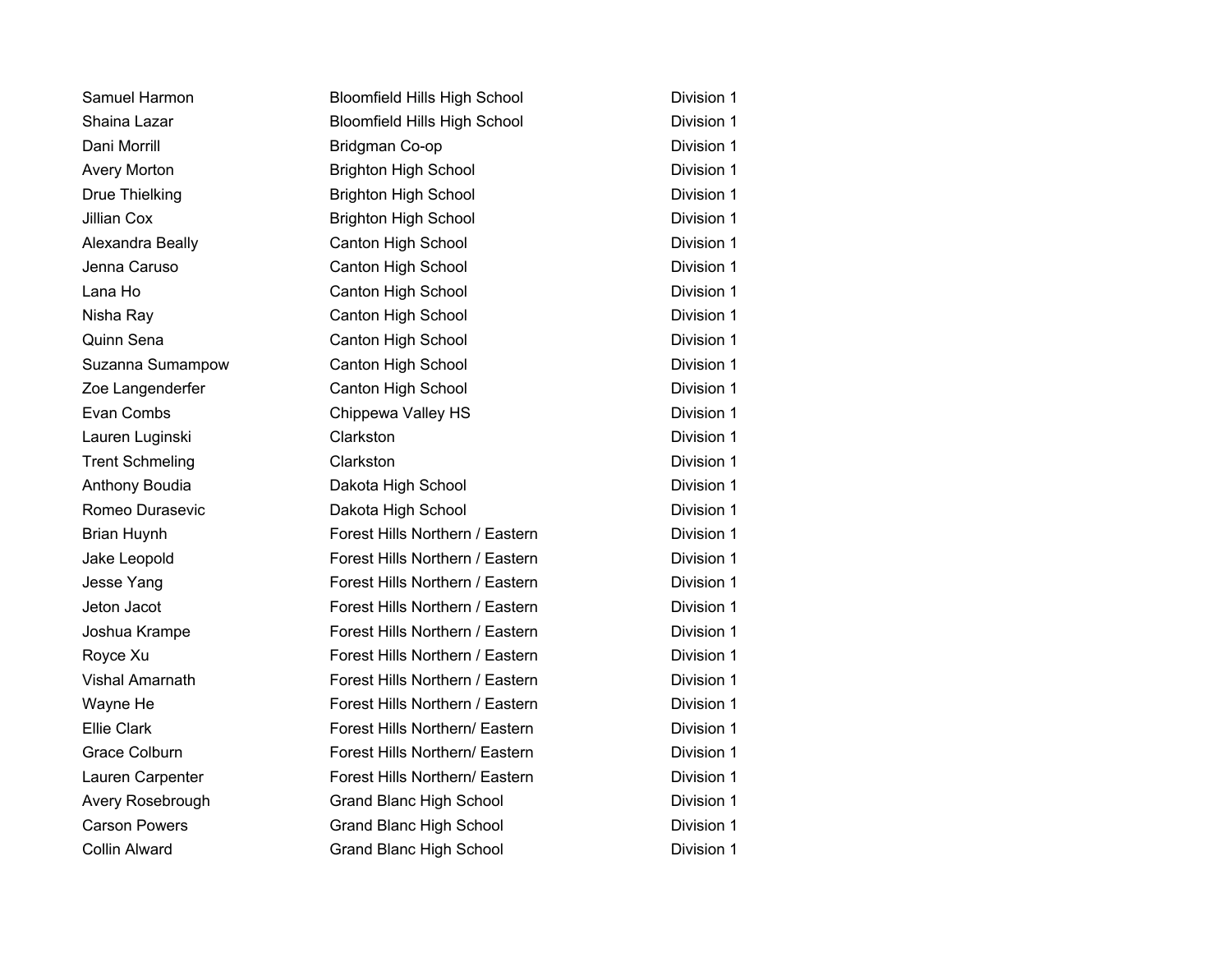| Samuel Harmon          | <b>Bloomfield Hills High School</b> | Division 1 |
|------------------------|-------------------------------------|------------|
| Shaina Lazar           | <b>Bloomfield Hills High School</b> | Division 1 |
| Dani Morrill           | Bridgman Co-op                      | Division 1 |
| <b>Avery Morton</b>    | <b>Brighton High School</b>         | Division 1 |
| <b>Drue Thielking</b>  | <b>Brighton High School</b>         | Division 1 |
| <b>Jillian Cox</b>     | <b>Brighton High School</b>         | Division 1 |
| Alexandra Beally       | <b>Canton High School</b>           | Division 1 |
| Jenna Caruso           | Canton High School                  | Division 1 |
| Lana Ho                | Canton High School                  | Division 1 |
| Nisha Ray              | Canton High School                  | Division 1 |
| Quinn Sena             | Canton High School                  | Division 1 |
| Suzanna Sumampow       | Canton High School                  | Division 1 |
| Zoe Langenderfer       | Canton High School                  | Division 1 |
| Evan Combs             | Chippewa Valley HS                  | Division 1 |
| Lauren Luginski        | Clarkston                           | Division 1 |
| <b>Trent Schmeling</b> | Clarkston                           | Division 1 |
| Anthony Boudia         | Dakota High School                  | Division 1 |
| Romeo Durasevic        | Dakota High School                  | Division 1 |
| <b>Brian Huynh</b>     | Forest Hills Northern / Eastern     | Division 1 |
| Jake Leopold           | Forest Hills Northern / Eastern     | Division 1 |
| Jesse Yang             | Forest Hills Northern / Eastern     | Division 1 |
| Jeton Jacot            | Forest Hills Northern / Eastern     | Division 1 |
| Joshua Krampe          | Forest Hills Northern / Eastern     | Division 1 |
| Royce Xu               | Forest Hills Northern / Eastern     | Division 1 |
| <b>Vishal Amarnath</b> | Forest Hills Northern / Eastern     | Division 1 |
| Wayne He               | Forest Hills Northern / Eastern     | Division 1 |
| <b>Ellie Clark</b>     | Forest Hills Northern/ Eastern      | Division 1 |
| <b>Grace Colburn</b>   | Forest Hills Northern/ Eastern      | Division 1 |
| Lauren Carpenter       | Forest Hills Northern/ Eastern      | Division 1 |
| Avery Rosebrough       | <b>Grand Blanc High School</b>      | Division 1 |
| <b>Carson Powers</b>   | <b>Grand Blanc High School</b>      | Division 1 |
| <b>Collin Alward</b>   | <b>Grand Blanc High School</b>      | Division 1 |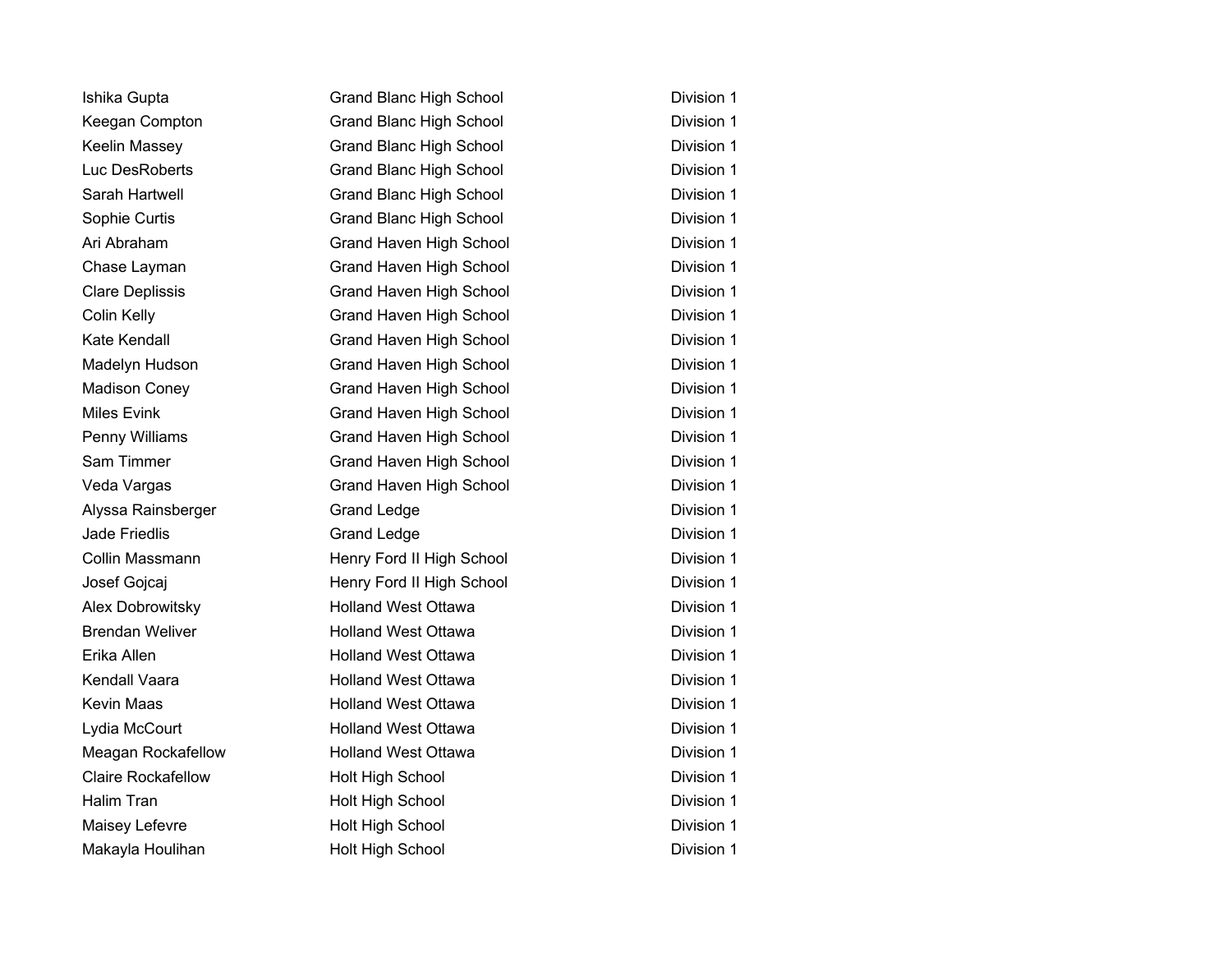| Ishika Gupta              | <b>Grand Blanc High School</b> | Division 1 |
|---------------------------|--------------------------------|------------|
| Keegan Compton            | <b>Grand Blanc High School</b> | Division 1 |
| Keelin Massey             | <b>Grand Blanc High School</b> | Division 1 |
| Luc DesRoberts            | <b>Grand Blanc High School</b> | Division 1 |
| Sarah Hartwell            | <b>Grand Blanc High School</b> | Division 1 |
| Sophie Curtis             | <b>Grand Blanc High School</b> | Division 1 |
| Ari Abraham               | Grand Haven High School        | Division 1 |
| Chase Layman              | Grand Haven High School        | Division 1 |
| <b>Clare Deplissis</b>    | Grand Haven High School        | Division 1 |
| Colin Kelly               | Grand Haven High School        | Division 1 |
| Kate Kendall              | Grand Haven High School        | Division 1 |
| Madelyn Hudson            | Grand Haven High School        | Division 1 |
| <b>Madison Coney</b>      | Grand Haven High School        | Division 1 |
| <b>Miles Evink</b>        | <b>Grand Haven High School</b> | Division 1 |
| Penny Williams            | Grand Haven High School        | Division 1 |
| Sam Timmer                | Grand Haven High School        | Division 1 |
| Veda Vargas               | <b>Grand Haven High School</b> | Division 1 |
| Alyssa Rainsberger        | <b>Grand Ledge</b>             | Division 1 |
| Jade Friedlis             | <b>Grand Ledge</b>             | Division 1 |
| Collin Massmann           | Henry Ford II High School      | Division 1 |
| Josef Gojcaj              | Henry Ford II High School      | Division 1 |
| Alex Dobrowitsky          | <b>Holland West Ottawa</b>     | Division 1 |
| <b>Brendan Weliver</b>    | <b>Holland West Ottawa</b>     | Division 1 |
| Erika Allen               | <b>Holland West Ottawa</b>     | Division 1 |
| Kendall Vaara             | <b>Holland West Ottawa</b>     | Division 1 |
| Kevin Maas                | <b>Holland West Ottawa</b>     | Division 1 |
| Lydia McCourt             | <b>Holland West Ottawa</b>     | Division 1 |
| Meagan Rockafellow        | <b>Holland West Ottawa</b>     | Division 1 |
| <b>Claire Rockafellow</b> | Holt High School               | Division 1 |
| <b>Halim Tran</b>         | Holt High School               | Division 1 |
| Maisey Lefevre            | Holt High School               | Division 1 |
| Makayla Houlihan          | <b>Holt High School</b>        | Division 1 |
|                           |                                |            |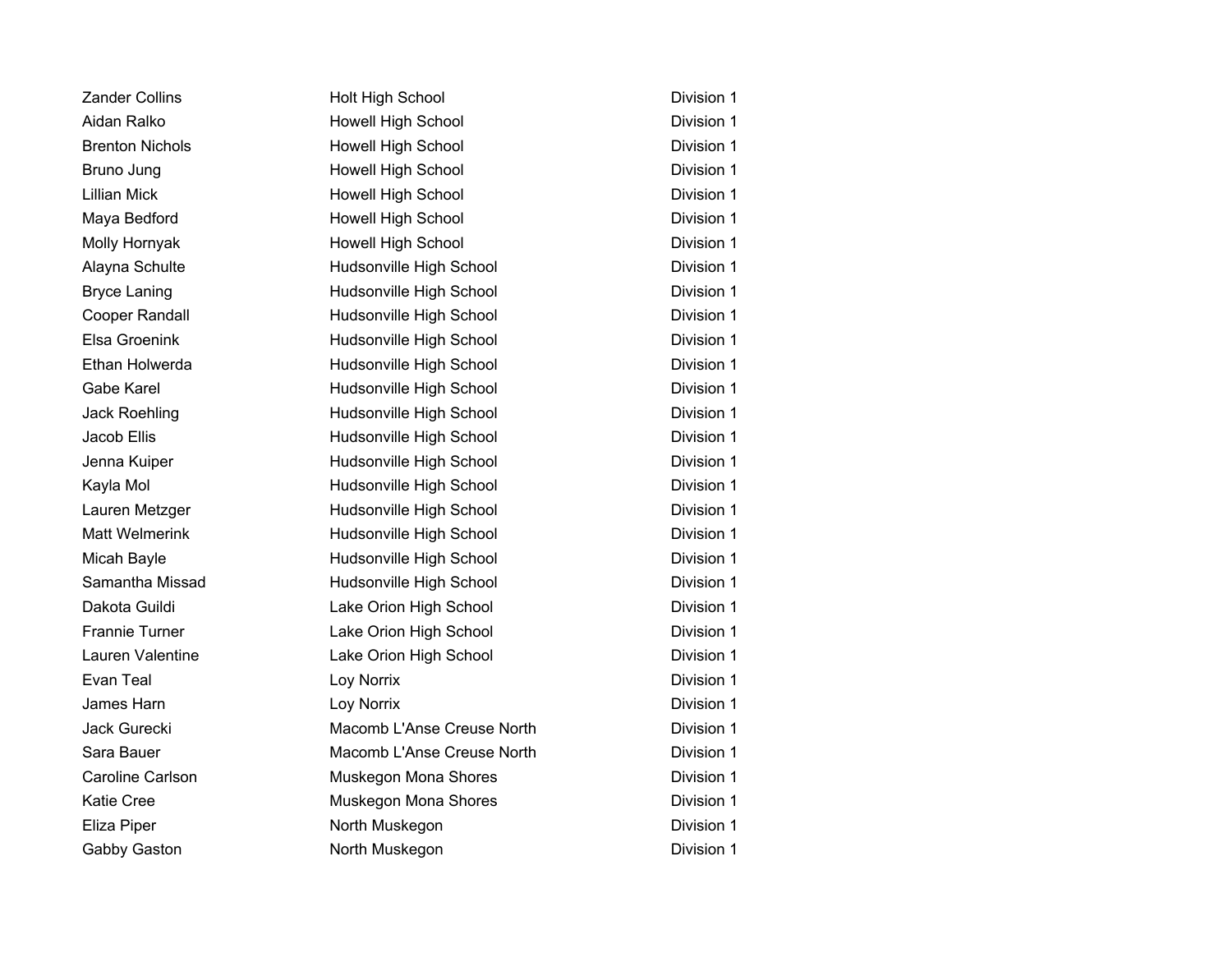| <b>Zander Collins</b>  | Holt High School           | Division 1 |
|------------------------|----------------------------|------------|
| Aidan Ralko            | <b>Howell High School</b>  | Division 1 |
| <b>Brenton Nichols</b> | Howell High School         | Division 1 |
| Bruno Jung             | Howell High School         | Division 1 |
| <b>Lillian Mick</b>    | Howell High School         | Division 1 |
| Maya Bedford           | <b>Howell High School</b>  | Division 1 |
| Molly Hornyak          | <b>Howell High School</b>  | Division 1 |
| Alayna Schulte         | Hudsonville High School    | Division 1 |
| <b>Bryce Laning</b>    | Hudsonville High School    | Division 1 |
| Cooper Randall         | Hudsonville High School    | Division 1 |
| <b>Elsa Groenink</b>   | Hudsonville High School    | Division 1 |
| Ethan Holwerda         | Hudsonville High School    | Division 1 |
| Gabe Karel             | Hudsonville High School    | Division 1 |
| Jack Roehling          | Hudsonville High School    | Division 1 |
| Jacob Ellis            | Hudsonville High School    | Division 1 |
| Jenna Kuiper           | Hudsonville High School    | Division 1 |
| Kayla Mol              | Hudsonville High School    | Division 1 |
| Lauren Metzger         | Hudsonville High School    | Division 1 |
| <b>Matt Welmerink</b>  | Hudsonville High School    | Division 1 |
| Micah Bayle            | Hudsonville High School    | Division 1 |
| Samantha Missad        | Hudsonville High School    | Division 1 |
| Dakota Guildi          | Lake Orion High School     | Division 1 |
| <b>Frannie Turner</b>  | Lake Orion High School     | Division 1 |
| Lauren Valentine       | Lake Orion High School     | Division 1 |
| Evan Teal              | Loy Norrix                 | Division 1 |
| James Harn             | Loy Norrix                 | Division 1 |
| Jack Gurecki           | Macomb L'Anse Creuse North | Division 1 |
| Sara Bauer             | Macomb L'Anse Creuse North | Division 1 |
| Caroline Carlson       | Muskegon Mona Shores       | Division 1 |
| <b>Katie Cree</b>      | Muskegon Mona Shores       | Division 1 |
| Eliza Piper            | North Muskegon             | Division 1 |
| Gabby Gaston           | North Muskegon             | Division 1 |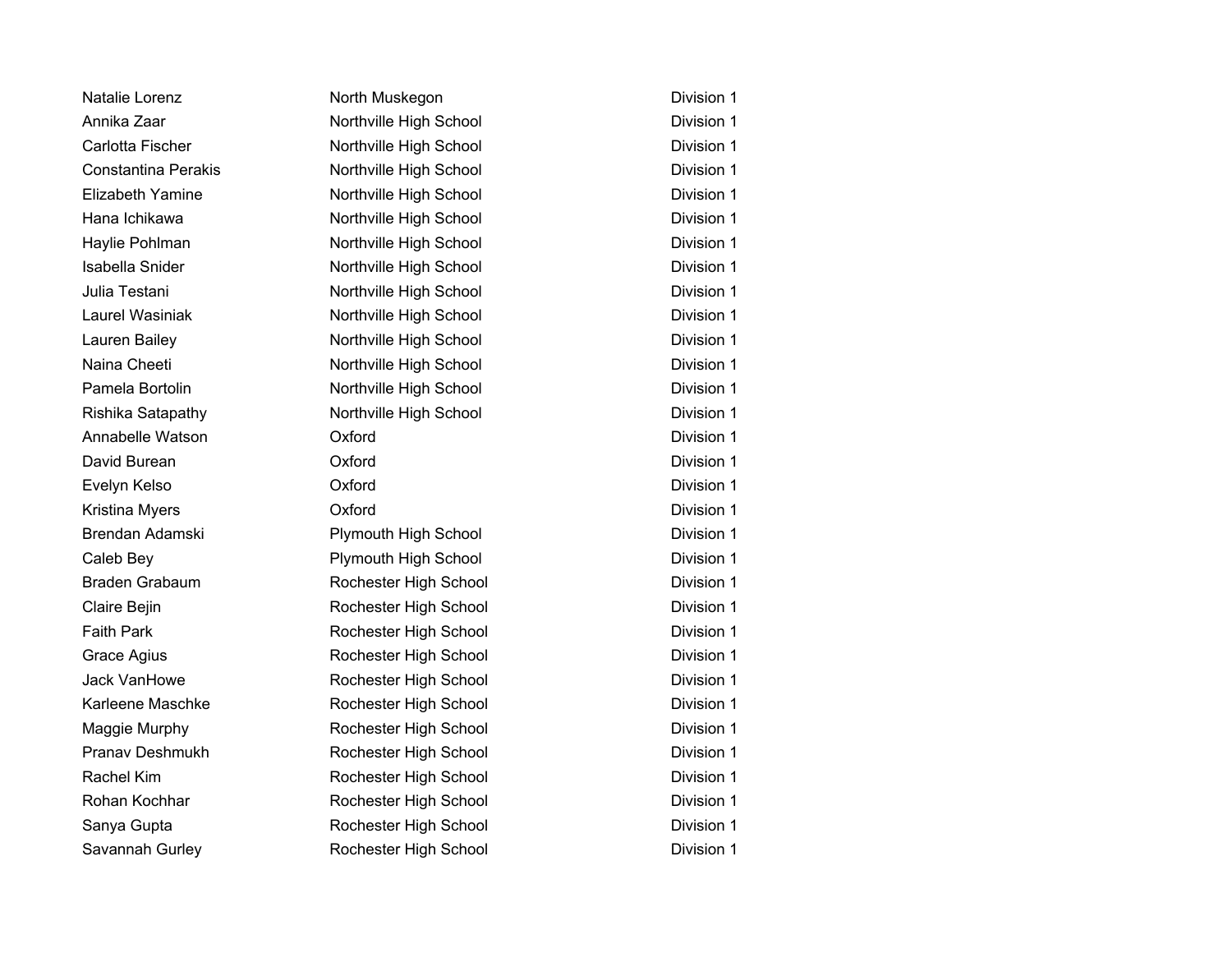| Natalie Lorenz             | North Muskegon         | Division 1 |
|----------------------------|------------------------|------------|
| Annika Zaar                | Northville High School | Division 1 |
| Carlotta Fischer           | Northville High School | Division 1 |
| <b>Constantina Perakis</b> | Northville High School | Division 1 |
| Elizabeth Yamine           | Northville High School | Division 1 |
| Hana Ichikawa              | Northville High School | Division 1 |
| Haylie Pohlman             | Northville High School | Division 1 |
| Isabella Snider            | Northville High School | Division 1 |
| Julia Testani              | Northville High School | Division 1 |
| <b>Laurel Wasiniak</b>     | Northville High School | Division 1 |
| Lauren Bailey              | Northville High School | Division 1 |
| Naina Cheeti               | Northville High School | Division 1 |
| Pamela Bortolin            | Northville High School | Division 1 |
| Rishika Satapathy          | Northville High School | Division 1 |
| Annabelle Watson           | Oxford                 | Division 1 |
| David Burean               | Oxford                 | Division 1 |
| Evelyn Kelso               | Oxford                 | Division 1 |
| Kristina Myers             | Oxford                 | Division 1 |
| Brendan Adamski            | Plymouth High School   | Division 1 |
| Caleb Bey                  | Plymouth High School   | Division 1 |
| <b>Braden Grabaum</b>      | Rochester High School  | Division 1 |
| Claire Bejin               | Rochester High School  | Division 1 |
| <b>Faith Park</b>          | Rochester High School  | Division 1 |
| Grace Agius                | Rochester High School  | Division 1 |
| Jack VanHowe               | Rochester High School  | Division 1 |
| Karleene Maschke           | Rochester High School  | Division 1 |
| Maggie Murphy              | Rochester High School  | Division 1 |
| <b>Pranav Deshmukh</b>     | Rochester High School  | Division 1 |
| Rachel Kim                 | Rochester High School  | Division 1 |
| Rohan Kochhar              | Rochester High School  | Division 1 |
| Sanya Gupta                | Rochester High School  | Division 1 |
| Savannah Gurley            | Rochester High School  | Division 1 |
|                            |                        |            |